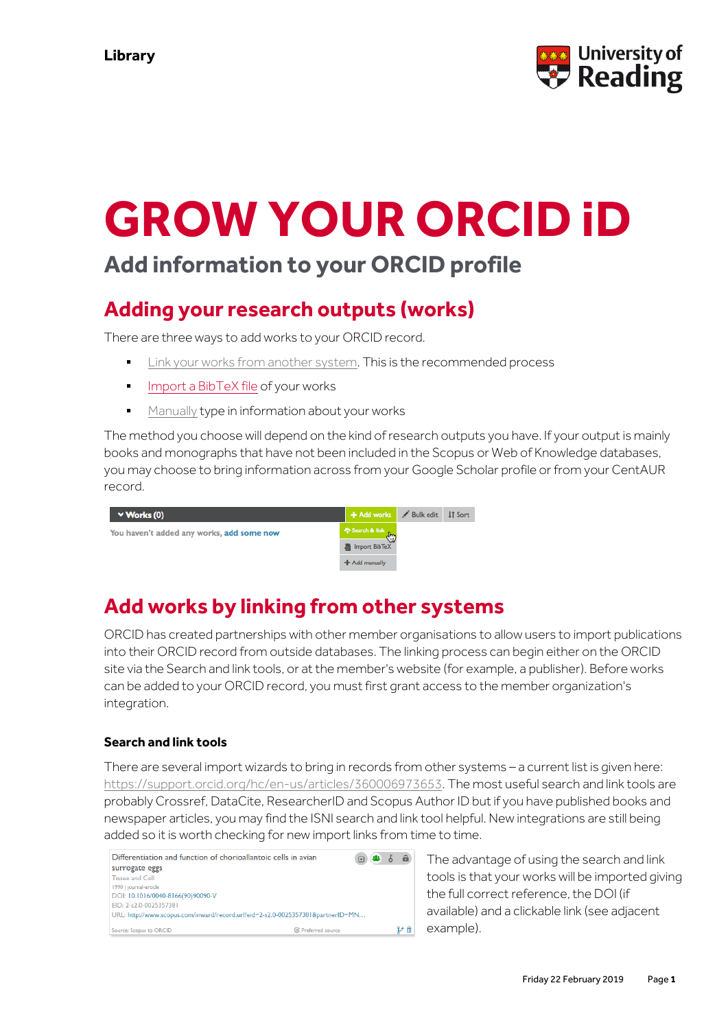

# **GROW YOUR ORCID iD**

# **Add information to your ORCID profile**

## **Adding your research outputs (works)**

There are three ways to add works to your ORCID record.

- **Link your works from [another](https://support.orcid.org/hc/en-us/articles/360006973653) system. This is the recommended process**
- **Import a [BibTeX](https://support.orcid.org/hc/en-us/articles/360006973353) file of your works**
- [Manually](https://support.orcid.org/hc/en-us/articles/360006896874) type in information about your works

The method you choose will depend on the kind of research outputs you have. If your output is mainly books and monographs that have not been included in the Scopus or Web of Knowledge databases, you may choose to bring information across from your Google Scholar profile or from your CentAUR record.

| $\vee$ Works (0)                          | + Add works Bulk edit IT Sort |  |
|-------------------------------------------|-------------------------------|--|
| You haven't added any works, add some now | Search & link                 |  |
|                                           | Import BibTeX                 |  |
|                                           | + Add manually                |  |

# **Add works by linking from other systems**

ORCID has created partnerships with other member organisations to allow users to import publications into their ORCID record from outside databases. The linking process can begin either on the ORCID site via the Search and link tools, or at the member's website (for example, a publisher). Before works can be added to your ORCID record, you must first grant access to the member organization's integration.

## **Search and link tools**

There are several import wizards to bring in records from other systems – a current list is given here: [https://support.orcid.org/hc/en-us/articles/360006973653.](https://support.orcid.org/hc/en-us/articles/360006973653) The most useful search and link tools are probably Crossref, DataCite, ResearcherID and Scopus Author ID but if you have published books and newspaper articles, you may find the ISNI search and link tool helpful. New integrations are still being added so it is worth checking for new import links from time to time.

| Differentiation and function of chorioallantoic cells in avian                  |                           | 222<br>-6<br>$\overline{r}$ |  |
|---------------------------------------------------------------------------------|---------------------------|-----------------------------|--|
| surrogate eggs                                                                  |                           |                             |  |
| Tissue and Cell                                                                 |                           |                             |  |
| 1990   journal-article                                                          |                           |                             |  |
| DOI: 10.1016/0040-8166(90)90090-V                                               |                           |                             |  |
| EID: 2-s2.0-0025357381                                                          |                           |                             |  |
| URL: http://www.scopus.com/inward/record.url?eid=2-s2.0-0025357381&partnerID=MN |                           |                             |  |
| Source: Scopus to ORCID                                                         | <b>■</b> Preferred source |                             |  |

The advantage of using the search and link tools is that your works will be imported giving the full correct reference, the DOI (if available) and a clickable link (see adjacent example).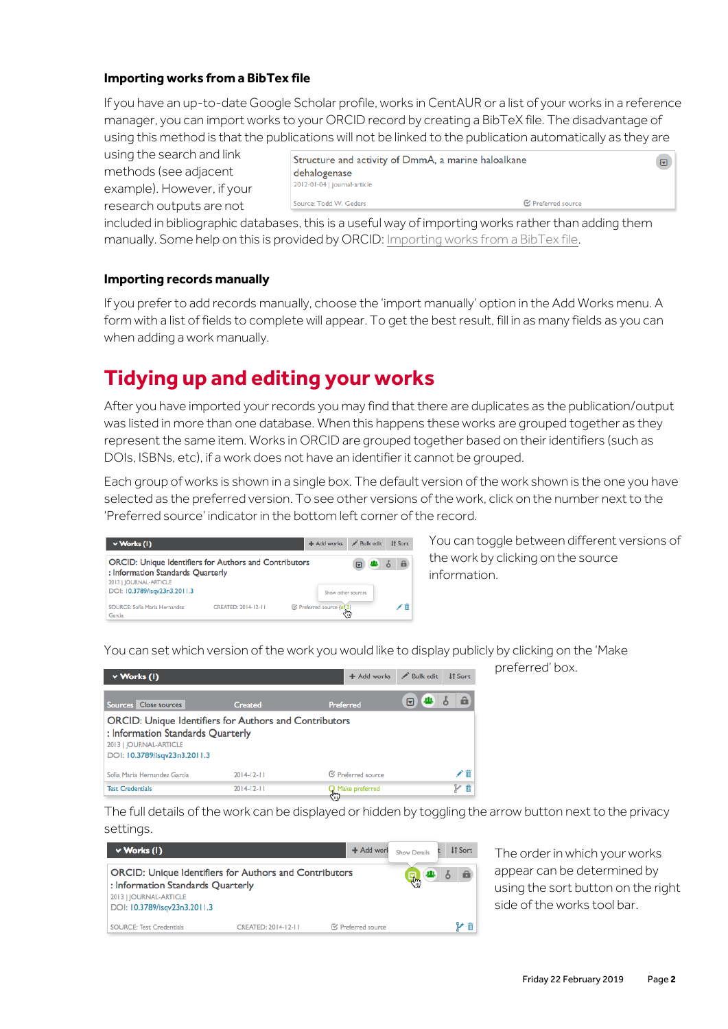## **Importing works from a BibTex file**

If you have an up-to-date Google Scholar profile, works in CentAUR or a list of your works in a reference manager, you can import works to your ORCID record by creating a BibTeX file. The disadvantage of using this method is that the publications will not be linked to the publication automatically as they are

using the search and link methods (see adjacent example). However, if your research outputs are not

| Structure and activity of DmmA, a marine haloalkane<br>dehalogenase<br>2012-01-04   journal-article |                    |
|-----------------------------------------------------------------------------------------------------|--------------------|
| Source: Todd W. Geders                                                                              | ■ Preferred source |

included in bibliographic databases, this is a useful way of importing works rather than adding them manually. Some help on this is provided by ORCID[: Importing works from a BibTex file.](https://support.orcid.org/hc/en-us/articles/360006894794-Importing-works-from-a-BibTeX-file)

#### **Importing records manually**

If you preferto add records manually, choose the 'import manually' option in the Add Works menu. A form with a list of fields to complete will appear. To get the best result, fill in as many fields as you can when adding a work manually.

## **Tidying up and editing your works**

After you have imported your records you may find that there are duplicates as the publication/output was listed in more than one database. When this happens these works are grouped together as they represent the same item. Works in ORCID are grouped together based on their identifiers (such as DOIs, ISBNs, etc), if a work does not have an identifier it cannot be grouped.

Each group of works is shown in a single box. The default version of the work shown is the one you have selected as the preferred version. To see other versions ofthe work, click on the number next to the 'Preferred source' indicator in the bottom left corner of the record.

| $\vee$ Works (1)                                                                                   |                     |                           | + Add works Bulk edit | It Sort  |
|----------------------------------------------------------------------------------------------------|---------------------|---------------------------|-----------------------|----------|
| <b>ORCID: Unique Identifiers for Authors and Contributors</b><br>: Information Standards Quarterly |                     |                           |                       | <b>a</b> |
| 2013   JOURNAL-ARTICLE<br>DOI: 10.3789/isqv23n3.2011.3                                             |                     |                           | Show other sources    |          |
| SOURCE: Sofia Maria Hernandez<br>Garcia                                                            | CREATED: 2014-12-11 | C Preferred source (of 2) |                       |          |

You can toggle between different versions of the work by clicking on the source information.

preferred' box.

You can set which version of the work you would like to display publicly by clicking on the 'Make

| $\vee$ Works (1)                                                                                                                                             |                | + Add works               | Bulk edit<br><b>It Sort</b> |
|--------------------------------------------------------------------------------------------------------------------------------------------------------------|----------------|---------------------------|-----------------------------|
| Sources Close sources                                                                                                                                        | <b>Created</b> | Preferred                 | â<br>趣<br>冋                 |
| <b>ORCID: Unique Identifiers for Authors and Contributors</b><br>: Information Standards Quarterly<br>2013   JOURNAL-ARTICLE<br>DOI: 10.3789/isqv23n3.2011.3 |                |                           |                             |
| Sofia Maria Hernandez Garcia                                                                                                                                 | $2014-12-11$   | <b>■ Preferred source</b> | ╱ 而                         |
| <b>Test Credentials</b>                                                                                                                                      | $2014-12-11$   | Make preferred<br>5       | γm                          |

The full details ofthe work can be displayed or hidden by toggling the arrow button next to the privacy settings.

| $\vee$ Works (1)                                                                                                                                             |                     | + Add worl                | <b>Show Details</b> | <b>IT Sort</b> |
|--------------------------------------------------------------------------------------------------------------------------------------------------------------|---------------------|---------------------------|---------------------|----------------|
| <b>ORCID: Unique Identifiers for Authors and Contributors</b><br>: Information Standards Quarterly<br>2013   JOURNAL-ARTICLE<br>DOI: 10.3789/isqv23n3.2011.3 |                     | 딩.,                       | â                   |                |
| <b>SOURCE: Test Credentials</b>                                                                                                                              | CREATED: 2014-12-11 | <b>■ Preferred source</b> |                     |                |

The order in which your works appear can be determined by using the sort button on the right side ofthe works tool bar.